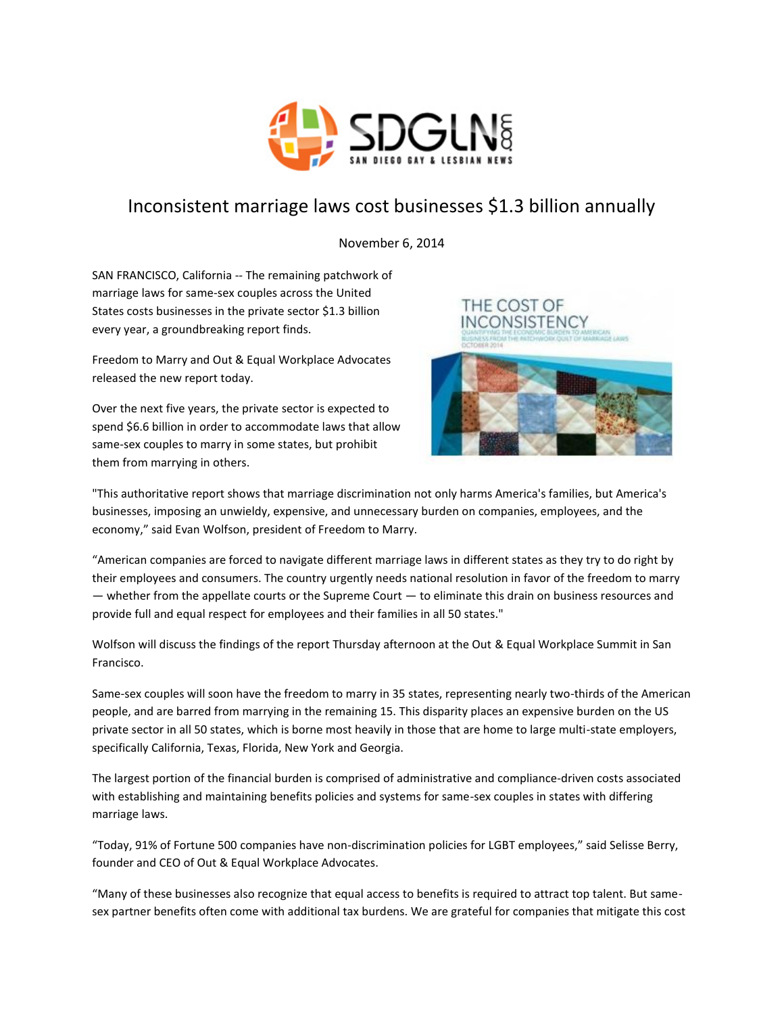

## Inconsistent marriage laws cost businesses \$1.3 billion annually

November 6, 2014

SAN FRANCISCO, California -- The remaining patchwork of marriage laws for same-sex couples across the United States costs businesses in the private sector \$1.3 billion every year, a groundbreaking report finds.

Freedom to Marry and Out & Equal Workplace Advocates released the new report today.

Over the next five years, the private sector is expected to spend \$6.6 billion in order to accommodate laws that allow same-sex couples to marry in some states, but prohibit them from marrying in others.



"This authoritative report shows that marriage discrimination not only harms America's families, but America's businesses, imposing an unwieldy, expensive, and unnecessary burden on companies, employees, and the economy," said Evan Wolfson, president of Freedom to Marry.

"American companies are forced to navigate different marriage laws in different states as they try to do right by their employees and consumers. The country urgently needs national resolution in favor of the freedom to marry — whether from the appellate courts or the Supreme Court — to eliminate this drain on business resources and provide full and equal respect for employees and their families in all 50 states."

Wolfson will discuss the findings of the report Thursday afternoon at the Out & Equal Workplace Summit in San Francisco.

Same-sex couples will soon have the freedom to marry in 35 states, representing nearly two-thirds of the American people, and are barred from marrying in the remaining 15. This disparity places an expensive burden on the US private sector in all 50 states, which is borne most heavily in those that are home to large multi-state employers, specifically California, Texas, Florida, New York and Georgia.

The largest portion of the financial burden is comprised of administrative and compliance-driven costs associated with establishing and maintaining benefits policies and systems for same-sex couples in states with differing marriage laws.

"Today, 91% of Fortune 500 companies have non-discrimination policies for LGBT employees," said Selisse Berry, founder and CEO of Out & Equal Workplace Advocates.

"Many of these businesses also recognize that equal access to benefits is required to attract top talent. But samesex partner benefits often come with additional tax burdens. We are grateful for companies that mitigate this cost